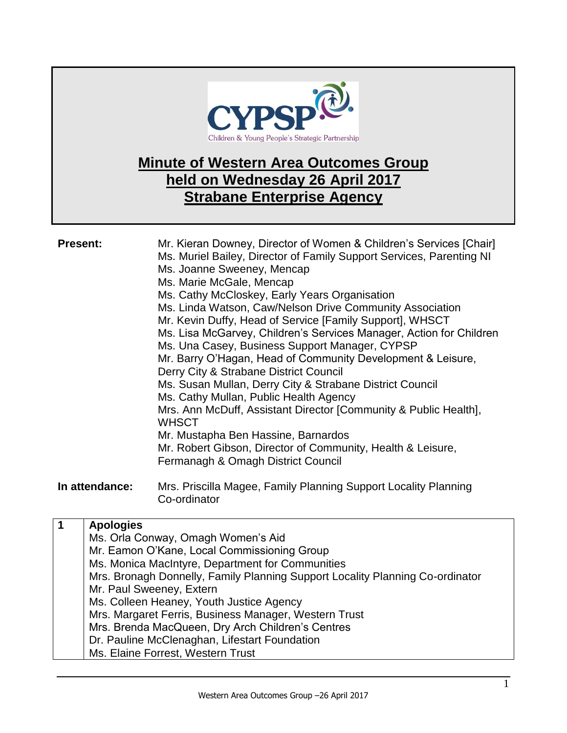

## **Minute of Western Area Outcomes Group held on Wednesday 26 April 2017 Strabane Enterprise Agency**

| <b>Present:</b>       | Mr. Kieran Downey, Director of Women & Children's Services [Chair]<br>Ms. Muriel Bailey, Director of Family Support Services, Parenting NI<br>Ms. Joanne Sweeney, Mencap<br>Ms. Marie McGale, Mencap<br>Ms. Cathy McCloskey, Early Years Organisation<br>Ms. Linda Watson, Caw/Nelson Drive Community Association<br>Mr. Kevin Duffy, Head of Service [Family Support], WHSCT<br>Ms. Lisa McGarvey, Children's Services Manager, Action for Children<br>Ms. Una Casey, Business Support Manager, CYPSP<br>Mr. Barry O'Hagan, Head of Community Development & Leisure,<br>Derry City & Strabane District Council<br>Ms. Susan Mullan, Derry City & Strabane District Council<br>Ms. Cathy Mullan, Public Health Agency<br>Mrs. Ann McDuff, Assistant Director [Community & Public Health],<br><b>WHSCT</b><br>Mr. Mustapha Ben Hassine, Barnardos<br>Mr. Robert Gibson, Director of Community, Health & Leisure,<br>Fermanagh & Omagh District Council |
|-----------------------|-------------------------------------------------------------------------------------------------------------------------------------------------------------------------------------------------------------------------------------------------------------------------------------------------------------------------------------------------------------------------------------------------------------------------------------------------------------------------------------------------------------------------------------------------------------------------------------------------------------------------------------------------------------------------------------------------------------------------------------------------------------------------------------------------------------------------------------------------------------------------------------------------------------------------------------------------------|
| In attendance:        | Mrs. Priscilla Magee, Family Planning Support Locality Planning<br>Co-ordinator                                                                                                                                                                                                                                                                                                                                                                                                                                                                                                                                                                                                                                                                                                                                                                                                                                                                       |
| 1<br><b>Apologies</b> | Ms. Orla Conway, Omagh Women's Aid                                                                                                                                                                                                                                                                                                                                                                                                                                                                                                                                                                                                                                                                                                                                                                                                                                                                                                                    |

Mr. Eamon O'Kane, Local Commissioning Group Ms. Monica MacIntyre, Department for Communities Mrs. Bronagh Donnelly, Family Planning Support Locality Planning Co-ordinator Mr. Paul Sweeney, Extern Ms. Colleen Heaney, Youth Justice Agency Mrs. Margaret Ferris, Business Manager, Western Trust Mrs. Brenda MacQueen, Dry Arch Children's Centres Dr. Pauline McClenaghan, Lifestart Foundation Ms. Elaine Forrest, Western Trust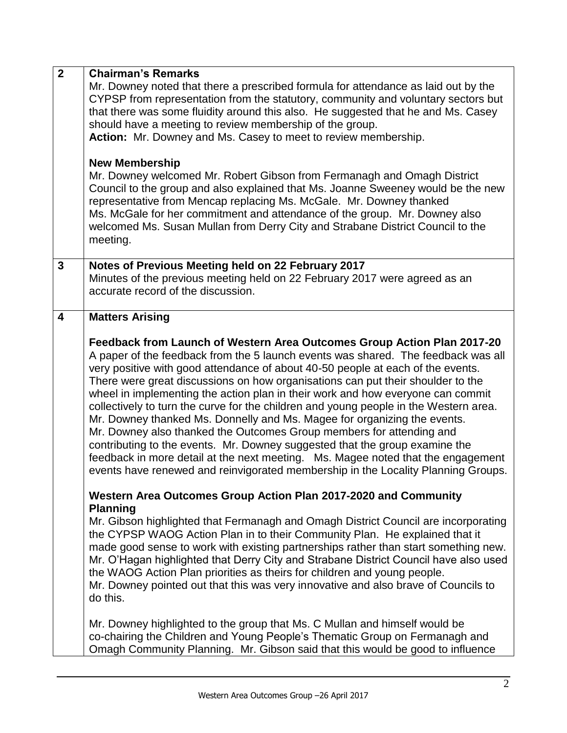| $\overline{2}$ | <b>Chairman's Remarks</b>                                                                                                                                                                                                                                                                                                                                                                                                                                                                                                                                                                                                                                                                                                                                                                                                                                                                                                  |
|----------------|----------------------------------------------------------------------------------------------------------------------------------------------------------------------------------------------------------------------------------------------------------------------------------------------------------------------------------------------------------------------------------------------------------------------------------------------------------------------------------------------------------------------------------------------------------------------------------------------------------------------------------------------------------------------------------------------------------------------------------------------------------------------------------------------------------------------------------------------------------------------------------------------------------------------------|
|                | Mr. Downey noted that there a prescribed formula for attendance as laid out by the<br>CYPSP from representation from the statutory, community and voluntary sectors but<br>that there was some fluidity around this also. He suggested that he and Ms. Casey<br>should have a meeting to review membership of the group.<br>Action: Mr. Downey and Ms. Casey to meet to review membership.                                                                                                                                                                                                                                                                                                                                                                                                                                                                                                                                 |
|                | <b>New Membership</b><br>Mr. Downey welcomed Mr. Robert Gibson from Fermanagh and Omagh District<br>Council to the group and also explained that Ms. Joanne Sweeney would be the new<br>representative from Mencap replacing Ms. McGale. Mr. Downey thanked<br>Ms. McGale for her commitment and attendance of the group. Mr. Downey also<br>welcomed Ms. Susan Mullan from Derry City and Strabane District Council to the<br>meeting.                                                                                                                                                                                                                                                                                                                                                                                                                                                                                    |
| 3              | Notes of Previous Meeting held on 22 February 2017<br>Minutes of the previous meeting held on 22 February 2017 were agreed as an<br>accurate record of the discussion.                                                                                                                                                                                                                                                                                                                                                                                                                                                                                                                                                                                                                                                                                                                                                     |
| 4              | <b>Matters Arising</b>                                                                                                                                                                                                                                                                                                                                                                                                                                                                                                                                                                                                                                                                                                                                                                                                                                                                                                     |
|                | Feedback from Launch of Western Area Outcomes Group Action Plan 2017-20<br>A paper of the feedback from the 5 launch events was shared. The feedback was all<br>very positive with good attendance of about 40-50 people at each of the events.<br>There were great discussions on how organisations can put their shoulder to the<br>wheel in implementing the action plan in their work and how everyone can commit<br>collectively to turn the curve for the children and young people in the Western area.<br>Mr. Downey thanked Ms. Donnelly and Ms. Magee for organizing the events.<br>Mr. Downey also thanked the Outcomes Group members for attending and<br>contributing to the events. Mr. Downey suggested that the group examine the<br>feedback in more detail at the next meeting. Ms. Magee noted that the engagement<br>events have renewed and reinvigorated membership in the Locality Planning Groups. |
|                | Western Area Outcomes Group Action Plan 2017-2020 and Community<br><b>Planning</b><br>Mr. Gibson highlighted that Fermanagh and Omagh District Council are incorporating<br>the CYPSP WAOG Action Plan in to their Community Plan. He explained that it<br>made good sense to work with existing partnerships rather than start something new.<br>Mr. O'Hagan highlighted that Derry City and Strabane District Council have also used<br>the WAOG Action Plan priorities as theirs for children and young people.<br>Mr. Downey pointed out that this was very innovative and also brave of Councils to<br>do this.                                                                                                                                                                                                                                                                                                       |
|                | Mr. Downey highlighted to the group that Ms. C Mullan and himself would be<br>co-chairing the Children and Young People's Thematic Group on Fermanagh and<br>Omagh Community Planning. Mr. Gibson said that this would be good to influence                                                                                                                                                                                                                                                                                                                                                                                                                                                                                                                                                                                                                                                                                |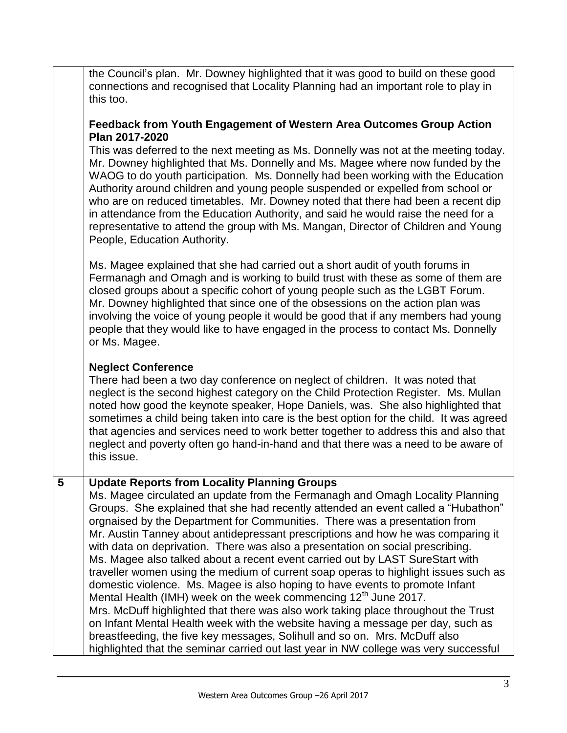the Council's plan. Mr. Downey highlighted that it was good to build on these good connections and recognised that Locality Planning had an important role to play in this too.

## **Feedback from Youth Engagement of Western Area Outcomes Group Action Plan 2017-2020**

This was deferred to the next meeting as Ms. Donnelly was not at the meeting today. Mr. Downey highlighted that Ms. Donnelly and Ms. Magee where now funded by the WAOG to do youth participation. Ms. Donnelly had been working with the Education Authority around children and young people suspended or expelled from school or who are on reduced timetables. Mr. Downey noted that there had been a recent dip in attendance from the Education Authority, and said he would raise the need for a representative to attend the group with Ms. Mangan, Director of Children and Young People, Education Authority.

Ms. Magee explained that she had carried out a short audit of youth forums in Fermanagh and Omagh and is working to build trust with these as some of them are closed groups about a specific cohort of young people such as the LGBT Forum. Mr. Downey highlighted that since one of the obsessions on the action plan was involving the voice of young people it would be good that if any members had young people that they would like to have engaged in the process to contact Ms. Donnelly or Ms. Magee.

## **Neglect Conference**

There had been a two day conference on neglect of children. It was noted that neglect is the second highest category on the Child Protection Register. Ms. Mullan noted how good the keynote speaker, Hope Daniels, was. She also highlighted that sometimes a child being taken into care is the best option for the child. It was agreed that agencies and services need to work better together to address this and also that neglect and poverty often go hand-in-hand and that there was a need to be aware of this issue.

## **5 Update Reports from Locality Planning Groups**

Ms. Magee circulated an update from the Fermanagh and Omagh Locality Planning Groups. She explained that she had recently attended an event called a "Hubathon" orgnaised by the Department for Communities. There was a presentation from Mr. Austin Tanney about antidepressant prescriptions and how he was comparing it with data on deprivation. There was also a presentation on social prescribing. Ms. Magee also talked about a recent event carried out by LAST SureStart with traveller women using the medium of current soap operas to highlight issues such as domestic violence. Ms. Magee is also hoping to have events to promote Infant Mental Health (IMH) week on the week commencing 12<sup>th</sup> June 2017. Mrs. McDuff highlighted that there was also work taking place throughout the Trust on Infant Mental Health week with the website having a message per day, such as breastfeeding, the five key messages, Solihull and so on. Mrs. McDuff also highlighted that the seminar carried out last year in NW college was very successful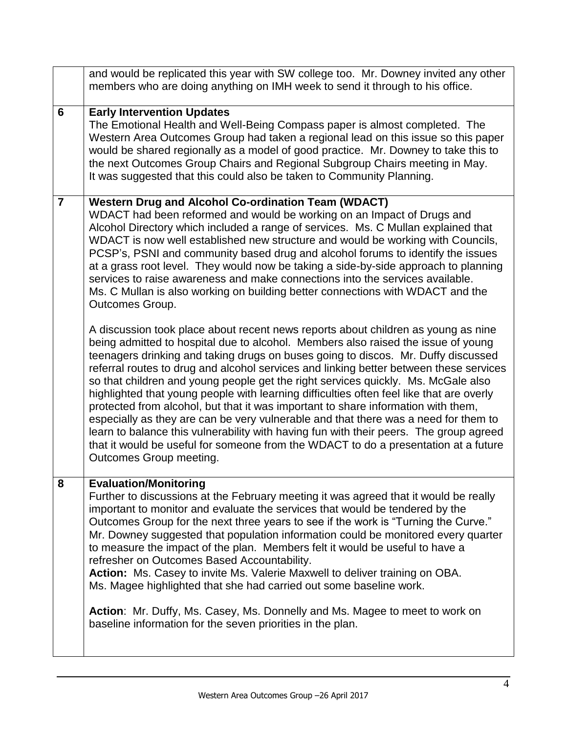|                | and would be replicated this year with SW college too. Mr. Downey invited any other<br>members who are doing anything on IMH week to send it through to his office.                                                                                                                                                                                                                                                                                                                                                                                                                                                                                                                                                                                                                                                                                                                                                            |
|----------------|--------------------------------------------------------------------------------------------------------------------------------------------------------------------------------------------------------------------------------------------------------------------------------------------------------------------------------------------------------------------------------------------------------------------------------------------------------------------------------------------------------------------------------------------------------------------------------------------------------------------------------------------------------------------------------------------------------------------------------------------------------------------------------------------------------------------------------------------------------------------------------------------------------------------------------|
| 6              | <b>Early Intervention Updates</b><br>The Emotional Health and Well-Being Compass paper is almost completed. The<br>Western Area Outcomes Group had taken a regional lead on this issue so this paper<br>would be shared regionally as a model of good practice. Mr. Downey to take this to<br>the next Outcomes Group Chairs and Regional Subgroup Chairs meeting in May.<br>It was suggested that this could also be taken to Community Planning.                                                                                                                                                                                                                                                                                                                                                                                                                                                                             |
| $\overline{7}$ | <b>Western Drug and Alcohol Co-ordination Team (WDACT)</b><br>WDACT had been reformed and would be working on an Impact of Drugs and<br>Alcohol Directory which included a range of services. Ms. C Mullan explained that<br>WDACT is now well established new structure and would be working with Councils,<br>PCSP's, PSNI and community based drug and alcohol forums to identify the issues<br>at a grass root level. They would now be taking a side-by-side approach to planning<br>services to raise awareness and make connections into the services available.<br>Ms. C Mullan is also working on building better connections with WDACT and the<br>Outcomes Group.                                                                                                                                                                                                                                                   |
|                | A discussion took place about recent news reports about children as young as nine<br>being admitted to hospital due to alcohol. Members also raised the issue of young<br>teenagers drinking and taking drugs on buses going to discos. Mr. Duffy discussed<br>referral routes to drug and alcohol services and linking better between these services<br>so that children and young people get the right services quickly. Ms. McGale also<br>highlighted that young people with learning difficulties often feel like that are overly<br>protected from alcohol, but that it was important to share information with them,<br>especially as they are can be very vulnerable and that there was a need for them to<br>learn to balance this vulnerability with having fun with their peers. The group agreed<br>that it would be useful for someone from the WDACT to do a presentation at a future<br>Outcomes Group meeting. |
| 8              | <b>Evaluation/Monitoring</b><br>Further to discussions at the February meeting it was agreed that it would be really<br>important to monitor and evaluate the services that would be tendered by the<br>Outcomes Group for the next three years to see if the work is "Turning the Curve."<br>Mr. Downey suggested that population information could be monitored every quarter<br>to measure the impact of the plan. Members felt it would be useful to have a<br>refresher on Outcomes Based Accountability.<br>Action: Ms. Casey to invite Ms. Valerie Maxwell to deliver training on OBA.<br>Ms. Magee highlighted that she had carried out some baseline work.                                                                                                                                                                                                                                                            |
|                | Action: Mr. Duffy, Ms. Casey, Ms. Donnelly and Ms. Magee to meet to work on<br>baseline information for the seven priorities in the plan.                                                                                                                                                                                                                                                                                                                                                                                                                                                                                                                                                                                                                                                                                                                                                                                      |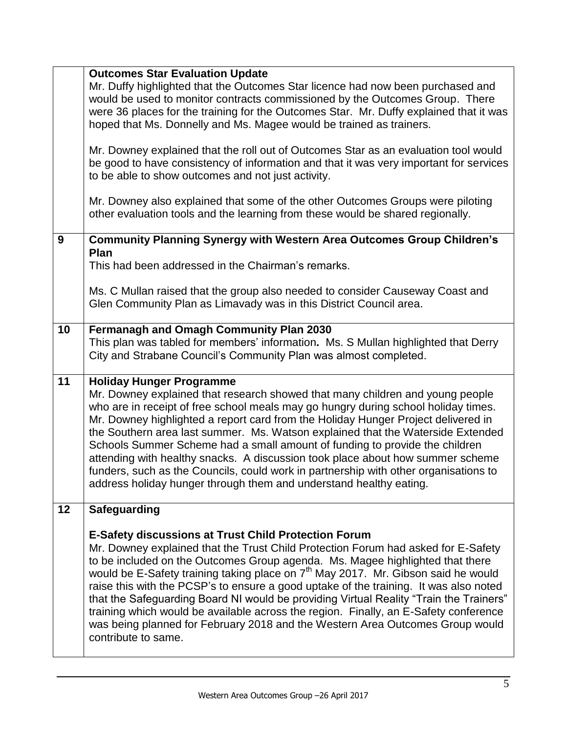| Mr. Duffy highlighted that the Outcomes Star licence had now been purchased and<br>would be used to monitor contracts commissioned by the Outcomes Group. There<br>were 36 places for the training for the Outcomes Star. Mr. Duffy explained that it was<br>hoped that Ms. Donnelly and Ms. Magee would be trained as trainers.<br>Mr. Downey explained that the roll out of Outcomes Star as an evaluation tool would<br>be good to have consistency of information and that it was very important for services<br>to be able to show outcomes and not just activity.<br>Mr. Downey also explained that some of the other Outcomes Groups were piloting<br>other evaluation tools and the learning from these would be shared regionally.<br><b>Community Planning Synergy with Western Area Outcomes Group Children's</b><br>9<br><b>Plan</b><br>This had been addressed in the Chairman's remarks.<br>Ms. C Mullan raised that the group also needed to consider Causeway Coast and<br>Glen Community Plan as Limavady was in this District Council area. |  |
|---------------------------------------------------------------------------------------------------------------------------------------------------------------------------------------------------------------------------------------------------------------------------------------------------------------------------------------------------------------------------------------------------------------------------------------------------------------------------------------------------------------------------------------------------------------------------------------------------------------------------------------------------------------------------------------------------------------------------------------------------------------------------------------------------------------------------------------------------------------------------------------------------------------------------------------------------------------------------------------------------------------------------------------------------------------|--|
|                                                                                                                                                                                                                                                                                                                                                                                                                                                                                                                                                                                                                                                                                                                                                                                                                                                                                                                                                                                                                                                               |  |
|                                                                                                                                                                                                                                                                                                                                                                                                                                                                                                                                                                                                                                                                                                                                                                                                                                                                                                                                                                                                                                                               |  |
|                                                                                                                                                                                                                                                                                                                                                                                                                                                                                                                                                                                                                                                                                                                                                                                                                                                                                                                                                                                                                                                               |  |
|                                                                                                                                                                                                                                                                                                                                                                                                                                                                                                                                                                                                                                                                                                                                                                                                                                                                                                                                                                                                                                                               |  |
|                                                                                                                                                                                                                                                                                                                                                                                                                                                                                                                                                                                                                                                                                                                                                                                                                                                                                                                                                                                                                                                               |  |
|                                                                                                                                                                                                                                                                                                                                                                                                                                                                                                                                                                                                                                                                                                                                                                                                                                                                                                                                                                                                                                                               |  |
|                                                                                                                                                                                                                                                                                                                                                                                                                                                                                                                                                                                                                                                                                                                                                                                                                                                                                                                                                                                                                                                               |  |
|                                                                                                                                                                                                                                                                                                                                                                                                                                                                                                                                                                                                                                                                                                                                                                                                                                                                                                                                                                                                                                                               |  |
|                                                                                                                                                                                                                                                                                                                                                                                                                                                                                                                                                                                                                                                                                                                                                                                                                                                                                                                                                                                                                                                               |  |
|                                                                                                                                                                                                                                                                                                                                                                                                                                                                                                                                                                                                                                                                                                                                                                                                                                                                                                                                                                                                                                                               |  |
|                                                                                                                                                                                                                                                                                                                                                                                                                                                                                                                                                                                                                                                                                                                                                                                                                                                                                                                                                                                                                                                               |  |
|                                                                                                                                                                                                                                                                                                                                                                                                                                                                                                                                                                                                                                                                                                                                                                                                                                                                                                                                                                                                                                                               |  |
|                                                                                                                                                                                                                                                                                                                                                                                                                                                                                                                                                                                                                                                                                                                                                                                                                                                                                                                                                                                                                                                               |  |
|                                                                                                                                                                                                                                                                                                                                                                                                                                                                                                                                                                                                                                                                                                                                                                                                                                                                                                                                                                                                                                                               |  |
| Fermanagh and Omagh Community Plan 2030<br>10                                                                                                                                                                                                                                                                                                                                                                                                                                                                                                                                                                                                                                                                                                                                                                                                                                                                                                                                                                                                                 |  |
| This plan was tabled for members' information. Ms. S Mullan highlighted that Derry<br>City and Strabane Council's Community Plan was almost completed.                                                                                                                                                                                                                                                                                                                                                                                                                                                                                                                                                                                                                                                                                                                                                                                                                                                                                                        |  |
|                                                                                                                                                                                                                                                                                                                                                                                                                                                                                                                                                                                                                                                                                                                                                                                                                                                                                                                                                                                                                                                               |  |
| 11<br><b>Holiday Hunger Programme</b>                                                                                                                                                                                                                                                                                                                                                                                                                                                                                                                                                                                                                                                                                                                                                                                                                                                                                                                                                                                                                         |  |
| Mr. Downey explained that research showed that many children and young people<br>who are in receipt of free school meals may go hungry during school holiday times.                                                                                                                                                                                                                                                                                                                                                                                                                                                                                                                                                                                                                                                                                                                                                                                                                                                                                           |  |
| Mr. Downey highlighted a report card from the Holiday Hunger Project delivered in                                                                                                                                                                                                                                                                                                                                                                                                                                                                                                                                                                                                                                                                                                                                                                                                                                                                                                                                                                             |  |
| the Southern area last summer. Ms. Watson explained that the Waterside Extended                                                                                                                                                                                                                                                                                                                                                                                                                                                                                                                                                                                                                                                                                                                                                                                                                                                                                                                                                                               |  |
|                                                                                                                                                                                                                                                                                                                                                                                                                                                                                                                                                                                                                                                                                                                                                                                                                                                                                                                                                                                                                                                               |  |
|                                                                                                                                                                                                                                                                                                                                                                                                                                                                                                                                                                                                                                                                                                                                                                                                                                                                                                                                                                                                                                                               |  |
|                                                                                                                                                                                                                                                                                                                                                                                                                                                                                                                                                                                                                                                                                                                                                                                                                                                                                                                                                                                                                                                               |  |
|                                                                                                                                                                                                                                                                                                                                                                                                                                                                                                                                                                                                                                                                                                                                                                                                                                                                                                                                                                                                                                                               |  |
| 12<br><b>Safeguarding</b>                                                                                                                                                                                                                                                                                                                                                                                                                                                                                                                                                                                                                                                                                                                                                                                                                                                                                                                                                                                                                                     |  |
|                                                                                                                                                                                                                                                                                                                                                                                                                                                                                                                                                                                                                                                                                                                                                                                                                                                                                                                                                                                                                                                               |  |
| Mr. Downey explained that the Trust Child Protection Forum had asked for E-Safety                                                                                                                                                                                                                                                                                                                                                                                                                                                                                                                                                                                                                                                                                                                                                                                                                                                                                                                                                                             |  |
|                                                                                                                                                                                                                                                                                                                                                                                                                                                                                                                                                                                                                                                                                                                                                                                                                                                                                                                                                                                                                                                               |  |
| to be included on the Outcomes Group agenda. Ms. Magee highlighted that there                                                                                                                                                                                                                                                                                                                                                                                                                                                                                                                                                                                                                                                                                                                                                                                                                                                                                                                                                                                 |  |
| would be E-Safety training taking place on 7 <sup>th</sup> May 2017. Mr. Gibson said he would                                                                                                                                                                                                                                                                                                                                                                                                                                                                                                                                                                                                                                                                                                                                                                                                                                                                                                                                                                 |  |
| raise this with the PCSP's to ensure a good uptake of the training. It was also noted                                                                                                                                                                                                                                                                                                                                                                                                                                                                                                                                                                                                                                                                                                                                                                                                                                                                                                                                                                         |  |
| that the Safeguarding Board NI would be providing Virtual Reality "Train the Trainers"<br>training which would be available across the region. Finally, an E-Safety conference                                                                                                                                                                                                                                                                                                                                                                                                                                                                                                                                                                                                                                                                                                                                                                                                                                                                                |  |
| was being planned for February 2018 and the Western Area Outcomes Group would<br>contribute to same.                                                                                                                                                                                                                                                                                                                                                                                                                                                                                                                                                                                                                                                                                                                                                                                                                                                                                                                                                          |  |
| Schools Summer Scheme had a small amount of funding to provide the children<br>attending with healthy snacks. A discussion took place about how summer scheme<br>funders, such as the Councils, could work in partnership with other organisations to<br>address holiday hunger through them and understand healthy eating.<br><b>E-Safety discussions at Trust Child Protection Forum</b>                                                                                                                                                                                                                                                                                                                                                                                                                                                                                                                                                                                                                                                                    |  |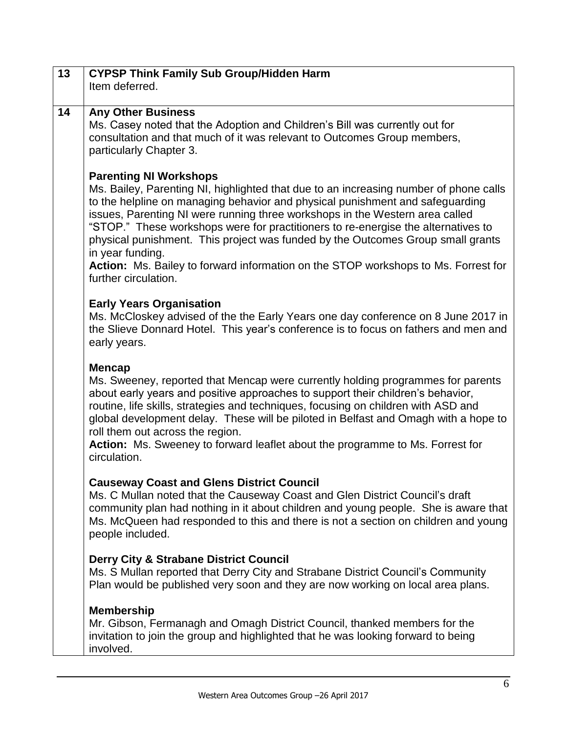| 13 | <b>CYPSP Think Family Sub Group/Hidden Harm</b><br>Item deferred.                                                                                                                                                                                                                                                                                                                                                                                                                                     |
|----|-------------------------------------------------------------------------------------------------------------------------------------------------------------------------------------------------------------------------------------------------------------------------------------------------------------------------------------------------------------------------------------------------------------------------------------------------------------------------------------------------------|
| 14 | <b>Any Other Business</b><br>Ms. Casey noted that the Adoption and Children's Bill was currently out for<br>consultation and that much of it was relevant to Outcomes Group members,<br>particularly Chapter 3.                                                                                                                                                                                                                                                                                       |
|    | <b>Parenting NI Workshops</b><br>Ms. Bailey, Parenting NI, highlighted that due to an increasing number of phone calls<br>to the helpline on managing behavior and physical punishment and safeguarding<br>issues, Parenting NI were running three workshops in the Western area called<br>"STOP." These workshops were for practitioners to re-energise the alternatives to<br>physical punishment. This project was funded by the Outcomes Group small grants<br>in year funding.                   |
|    | Action: Ms. Bailey to forward information on the STOP workshops to Ms. Forrest for<br>further circulation.                                                                                                                                                                                                                                                                                                                                                                                            |
|    | <b>Early Years Organisation</b><br>Ms. McCloskey advised of the the Early Years one day conference on 8 June 2017 in<br>the Slieve Donnard Hotel. This year's conference is to focus on fathers and men and<br>early years.                                                                                                                                                                                                                                                                           |
|    | <b>Mencap</b><br>Ms. Sweeney, reported that Mencap were currently holding programmes for parents<br>about early years and positive approaches to support their children's behavior,<br>routine, life skills, strategies and techniques, focusing on children with ASD and<br>global development delay. These will be piloted in Belfast and Omagh with a hope to<br>roll them out across the region.<br>Action: Ms. Sweeney to forward leaflet about the programme to Ms. Forrest for<br>circulation. |
|    | <b>Causeway Coast and Glens District Council</b><br>Ms. C Mullan noted that the Causeway Coast and Glen District Council's draft<br>community plan had nothing in it about children and young people. She is aware that<br>Ms. McQueen had responded to this and there is not a section on children and young<br>people included.                                                                                                                                                                     |
|    | <b>Derry City &amp; Strabane District Council</b><br>Ms. S Mullan reported that Derry City and Strabane District Council's Community<br>Plan would be published very soon and they are now working on local area plans.                                                                                                                                                                                                                                                                               |
|    | <b>Membership</b><br>Mr. Gibson, Fermanagh and Omagh District Council, thanked members for the<br>invitation to join the group and highlighted that he was looking forward to being<br>involved.                                                                                                                                                                                                                                                                                                      |